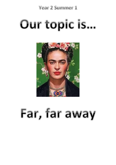Year 2 Summer 1

# Our topic is...



# Far, far away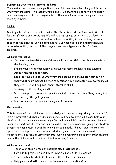## **Supporting your child's learning at home**

The most effective way of supporting your child's learning is by taking an interest in what they are doing. This leaflet should give you a starting point for talking about what learning your child is doing at school. There are ideas below to support their learning at home.

## **English**

Our English this half term will focus on the story, Jim and the Beanstalk. We will look at inference and prediction. We will be using drama activities to explore the emotions of the characters and will work towards writing in role, making our own speech to the giant about his eating habits. Our focus will be on exciting language, persuasive writing and use of the range of sentence types expected for Year 2 children.

# **At home you could:**

- Continue reading with your child regularly and practising the phonic sounds in the Reading Diary.
- Expand your child's vocabulary by discussing more challenging and exciting words when reading to them.
- Speak to your child about what they are reading and encourage them to think about what might happen next or to consider why a character may be feeling as they are. This will help with their inference skills.
- Learning weekly spelling words.
- Note when possessive apostrophes are used to show that something belongs to someone e.g. The girl's jumper.
- Practise handwriting when learning spelling words.

# **Mathematics**

This term we will be building on our knowledge of time including telling the time in 15 minute intervals and when children are ready in 5 minute intervals. Please help your child to tell the time regularly at home. We will be revisiting topics we have already covered of addition, subtraction, multiplication and division and will group the children across the year group to best fit their individual needs. This will give children the opportunity to improve their fluency and strategies to use the four operations independently and look at some problems involving reasoning and higher order thinking where the children will have to explain how or why in words.

# **At home you could:**

- Teach your child to read an analogue clock (with hands).
- Continue to practise times tables, in particular 2's, 5s, 10s and 3s.
- Recap number bonds to 20 to ensure the children are secure.
- Help your child with their maths homework on Education City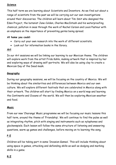## **Science**

This half term we are learning about Scientists and Inventors. As we find out about a range of scientists from the past we will be carrying out our own investigations around their discoveries. The children will learn about Tim Smit who designed the Eden Project, the botanist Jane Colden, Charles MacIntosh and his waterproofing chemical, pollution in seas through the work of Rachel Carson and Louis Pasteur with an emphasis on the importance of preventing germs being spread.

## **At home you could:**

- Carry out your own research into the work of different scientists.
- Look out for information books in the library.

# **Art**

In our Art sessions we will be linking our learning to our Mexican theme. The children will explore work from the artist Frida Kahlo, making artwork that is inspired by her and exploring ways of drawing self-portraits. We will also be using clay to create a Mexican Day of the Dead mask.

# **Geography**

During our geography sessions, we will be focusing on the country of Mexico. We will be thinking about the similarities and differences between Mexico and our own culture. We will explore different festivals that are celebrated in Mexico along with their artwork. The children will start by finding Mexico on a world map and learning the Continents and Oceans of the world. We will then be exploring Mexican weather and food.

## **Music**

From our new 'Charanga' Music programme we will be focusing our music lessons this half term, around the theme of 'Friendship'. We will continue to find the pulse as well as integrating rhythm, pitch with singing and instruments such as xylophones and glockenspiels. Each lesson will follow the same structure of listening and answering questions, warm up games and challenges, before moving on to learning the song.

# **P.E**

Children will be taking part in some 'Invasion Games'. This will include thinking about using space in games, attacking and defending skills as well as dodging and marking skills in a game.